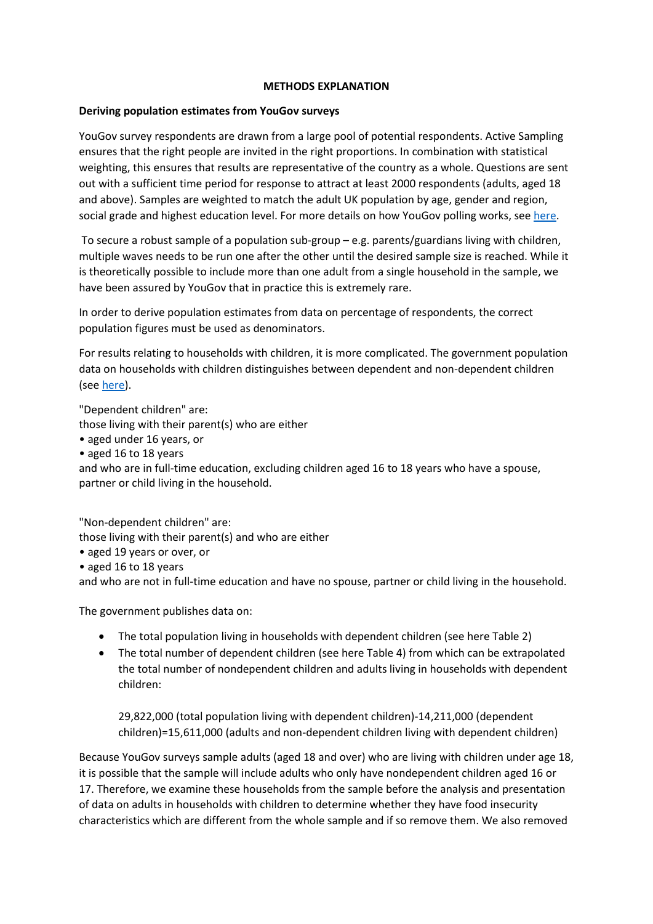## METHODS EXPLANATION

## Deriving population estimates from YouGov surveys

YouGov survey respondents are drawn from a large pool of potential respondents. Active Sampling ensures that the right people are invited in the right proportions. In combination with statistical weighting, this ensures that results are representative of the country as a whole. Questions are sent out with a sufficient time period for response to attract at least 2000 respondents (adults, aged 18 and above). Samples are weighted to match the adult UK population by age, gender and region, social grade and highest education level. For more details on how YouGov polling works, see here.

 To secure a robust sample of a population sub-group – e.g. parents/guardians living with children, multiple waves needs to be run one after the other until the desired sample size is reached. While it is theoretically possible to include more than one adult from a single household in the sample, we have been assured by YouGov that in practice this is extremely rare.

In order to derive population estimates from data on percentage of respondents, the correct population figures must be used as denominators.

For results relating to households with children, it is more complicated. The government population data on households with children distinguishes between dependent and non-dependent children (see here).

"Dependent children" are:

those living with their parent(s) who are either

- aged under 16 years, or
- aged 16 to 18 years

and who are in full-time education, excluding children aged 16 to 18 years who have a spouse, partner or child living in the household.

"Non-dependent children" are:

those living with their parent(s) and who are either

- aged 19 years or over, or
- aged 16 to 18 years

and who are not in full-time education and have no spouse, partner or child living in the household.

The government publishes data on:

- The total population living in households with dependent children (see here Table 2)
- The total number of dependent children (see here Table 4) from which can be extrapolated the total number of nondependent children and adults living in households with dependent children:

29,822,000 (total population living with dependent children)-14,211,000 (dependent children)=15,611,000 (adults and non-dependent children living with dependent children)

Because YouGov surveys sample adults (aged 18 and over) who are living with children under age 18, it is possible that the sample will include adults who only have nondependent children aged 16 or 17. Therefore, we examine these households from the sample before the analysis and presentation of data on adults in households with children to determine whether they have food insecurity characteristics which are different from the whole sample and if so remove them. We also removed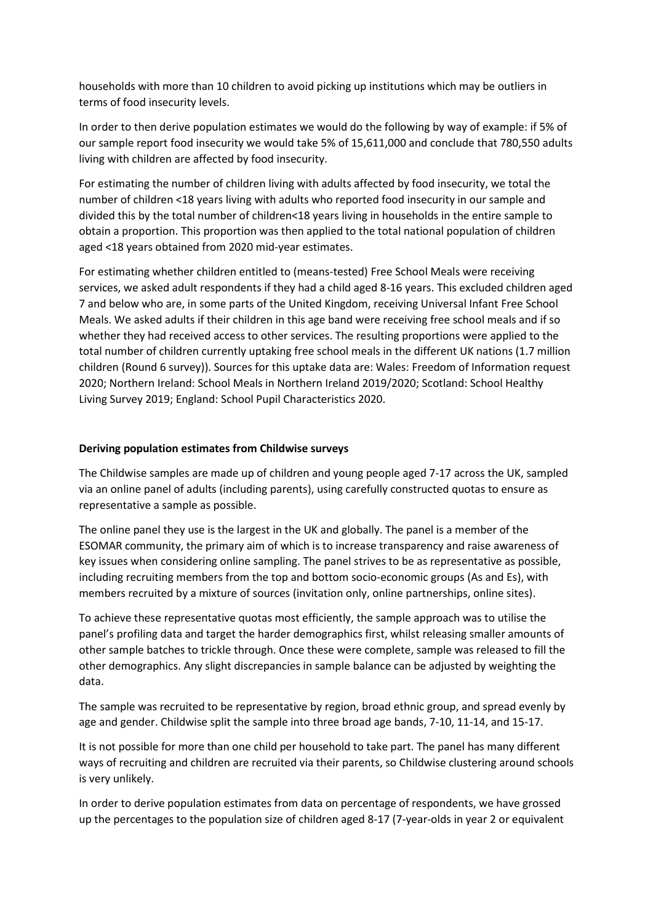households with more than 10 children to avoid picking up institutions which may be outliers in terms of food insecurity levels.

In order to then derive population estimates we would do the following by way of example: if 5% of our sample report food insecurity we would take 5% of 15,611,000 and conclude that 780,550 adults living with children are affected by food insecurity.

For estimating the number of children living with adults affected by food insecurity, we total the number of children <18 years living with adults who reported food insecurity in our sample and divided this by the total number of children<18 years living in households in the entire sample to obtain a proportion. This proportion was then applied to the total national population of children aged <18 years obtained from 2020 mid-year estimates.

For estimating whether children entitled to (means-tested) Free School Meals were receiving services, we asked adult respondents if they had a child aged 8-16 years. This excluded children aged 7 and below who are, in some parts of the United Kingdom, receiving Universal Infant Free School Meals. We asked adults if their children in this age band were receiving free school meals and if so whether they had received access to other services. The resulting proportions were applied to the total number of children currently uptaking free school meals in the different UK nations (1.7 million children (Round 6 survey)). Sources for this uptake data are: Wales: Freedom of Information request 2020; Northern Ireland: School Meals in Northern Ireland 2019/2020; Scotland: School Healthy Living Survey 2019; England: School Pupil Characteristics 2020.

## Deriving population estimates from Childwise surveys

The Childwise samples are made up of children and young people aged 7-17 across the UK, sampled via an online panel of adults (including parents), using carefully constructed quotas to ensure as representative a sample as possible.

The online panel they use is the largest in the UK and globally. The panel is a member of the ESOMAR community, the primary aim of which is to increase transparency and raise awareness of key issues when considering online sampling. The panel strives to be as representative as possible, including recruiting members from the top and bottom socio-economic groups (As and Es), with members recruited by a mixture of sources (invitation only, online partnerships, online sites).

To achieve these representative quotas most efficiently, the sample approach was to utilise the panel's profiling data and target the harder demographics first, whilst releasing smaller amounts of other sample batches to trickle through. Once these were complete, sample was released to fill the other demographics. Any slight discrepancies in sample balance can be adjusted by weighting the data.

The sample was recruited to be representative by region, broad ethnic group, and spread evenly by age and gender. Childwise split the sample into three broad age bands, 7-10, 11-14, and 15-17.

It is not possible for more than one child per household to take part. The panel has many different ways of recruiting and children are recruited via their parents, so Childwise clustering around schools is very unlikely.

In order to derive population estimates from data on percentage of respondents, we have grossed up the percentages to the population size of children aged 8-17 (7-year-olds in year 2 or equivalent